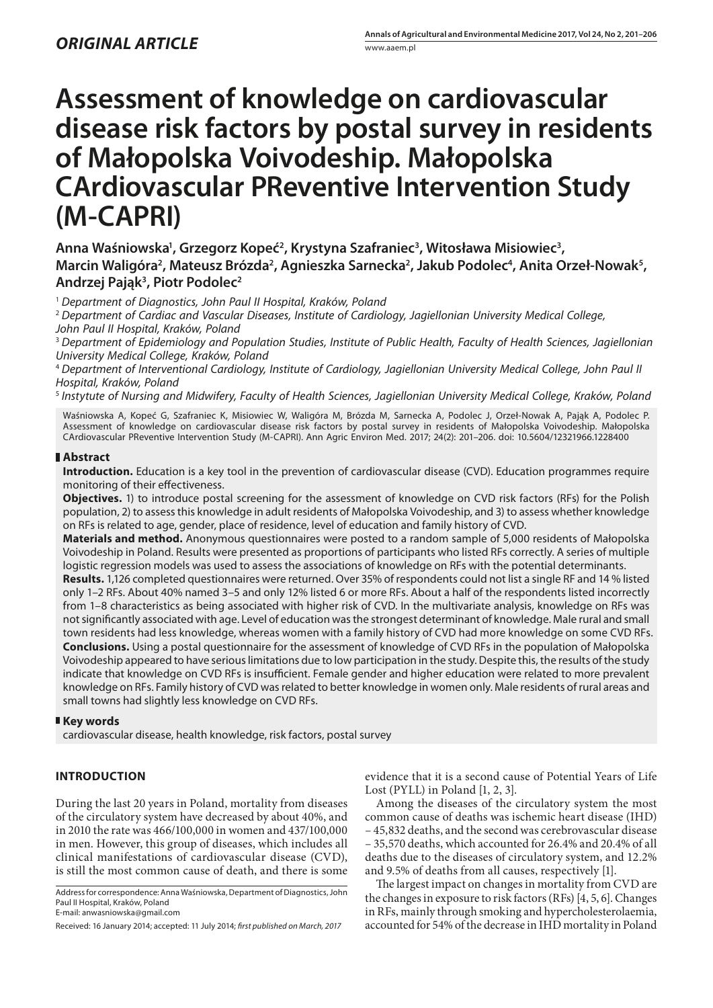# **Assessment of knowledge on cardiovascular disease risk factors by postal survey in residents of Małopolska Voivodeship. Małopolska CArdiovascular PReventive Intervention Study (M-CAPRI)**

## Anna Waśniowska<sup>1</sup>, Grzegorz Kopeć<sup>2</sup>, Krystyna Szafraniec<sup>3</sup>, Witosława Misiowiec<sup>3</sup>, Marcin Waligóra<sup>2</sup>, Mateusz Brózda<sup>2</sup>, Agnieszka Sarnecka<sup>2</sup>, Jakub Podolec<sup>4</sup>, Anita Orzeł-Nowak<sup>5</sup>, **Andrzej Pająk3 , Piotr Podolec2**

<sup>1</sup> *Department of Diagnostics, John Paul II Hospital, Kraków, Poland*

<sup>2</sup> *Department of Cardiac and Vascular Diseases, Institute of Cardiology, Jagiellonian University Medical College, John Paul II Hospital, Kraków, Poland*

<sup>3</sup> *Department of Epidemiology and Population Studies, Institute of Public Health, Faculty of Health Sciences, Jagiellonian University Medical College, Kraków, Poland*

<sup>4</sup> *Department of Interventional Cardiology, Institute of Cardiology, Jagiellonian University Medical College, John Paul II Hospital, Kraków, Poland*

<sup>5</sup> *Instytute of Nursing and Midwifery, Faculty of Health Sciences, Jagiellonian University Medical College, Kraków, Poland*

Waśniowska A, Kopeć G, Szafraniec K, Misiowiec W, Waligóra M, Brózda M, Sarnecka A, Podolec J, Orzeł-Nowak A, Pająk A, Podolec P. Assessment of knowledge on cardiovascular disease risk factors by postal survey in residents of Małopolska Voivodeship. Małopolska CArdiovascular PReventive Intervention Study (M-CAPRI). Ann Agric Environ Med. 2017; 24(2): 201–206. doi: 10.5604/12321966.1228400

## **Abstract**

**Introduction.** Education is a key tool in the prevention of cardiovascular disease (CVD). Education programmes require monitoring of their effectiveness.

**Objectives.** 1) to introduce postal screening for the assessment of knowledge on CVD risk factors (RFs) for the Polish population, 2) to assess this knowledge in adult residents of Małopolska Voivodeship, and 3) to assess whether knowledge on RFs is related to age, gender, place of residence, level of education and family history of CVD.

**Materials and method.** Anonymous questionnaires were posted to a random sample of 5,000 residents of Małopolska Voivodeship in Poland. Results were presented as proportions of participants who listed RFs correctly. A series of multiple logistic regression models was used to assess the associations of knowledge on RFs with the potential determinants.

**Results.** 1,126 completed questionnaires were returned. Over 35% of respondents could not list a single RF and 14 % listed only 1–2 RFs. About 40% named 3–5 and only 12% listed 6 or more RFs. About a half of the respondents listed incorrectly from 1–8 characteristics as being associated with higher risk of CVD. In the multivariate analysis, knowledge on RFs was not significantly associated with age. Level of education was the strongest determinant of knowledge. Male rural and small town residents had less knowledge, whereas women with a family history of CVD had more knowledge on some CVD RFs. **Conclusions.** Using a postal questionnaire for the assessment of knowledge of CVD RFs in the population of Małopolska Voivodeship appeared to have serious limitations due to low participation in the study. Despite this, the results of the study indicate that knowledge on CVD RFs is insufficient. Female gender and higher education were related to more prevalent knowledge on RFs. Family history of CVD was related to better knowledge in women only. Male residents of rural areas and small towns had slightly less knowledge on CVD RFs.

## **Key words**

cardiovascular disease, health knowledge, risk factors, postal survey

## **INTRODUCTION**

During the last 20 years in Poland, mortality from diseases of the circulatory system have decreased by about 40%, and in 2010 the rate was 466/100,000 in women and 437/100,000 in men. However, this group of diseases, which includes all clinical manifestations of cardiovascular disease (CVD), is still the most common cause of death, and there is some

Address for correspondence: Anna Waśniowska, Department of Diagnostics, John Paul II Hospital, Kraków, Poland E-mail: anwasniowska@gmail.com

Received: 16 January 2014; accepted: 11 July 2014; *first published on March, 2017*

evidence that it is a second cause of Potential Years of Life Lost (PYLL) in Poland [1, 2, 3].

Among the diseases of the circulatory system the most common cause of deaths was ischemic heart disease (IHD) – 45,832 deaths, and the second was cerebrovascular disease – 35,570 deaths, which accounted for 26.4% and 20.4% of all deaths due to the diseases of circulatory system, and 12.2% and 9.5% of deaths from all causes, respectively [1].

The largest impact on changes in mortality from CVD are the changes in exposure to risk factors (RFs) [4, 5, 6]. Changes in RFs, mainly through smoking and hypercholesterolaemia, accounted for 54% of the decrease in IHD mortality in Poland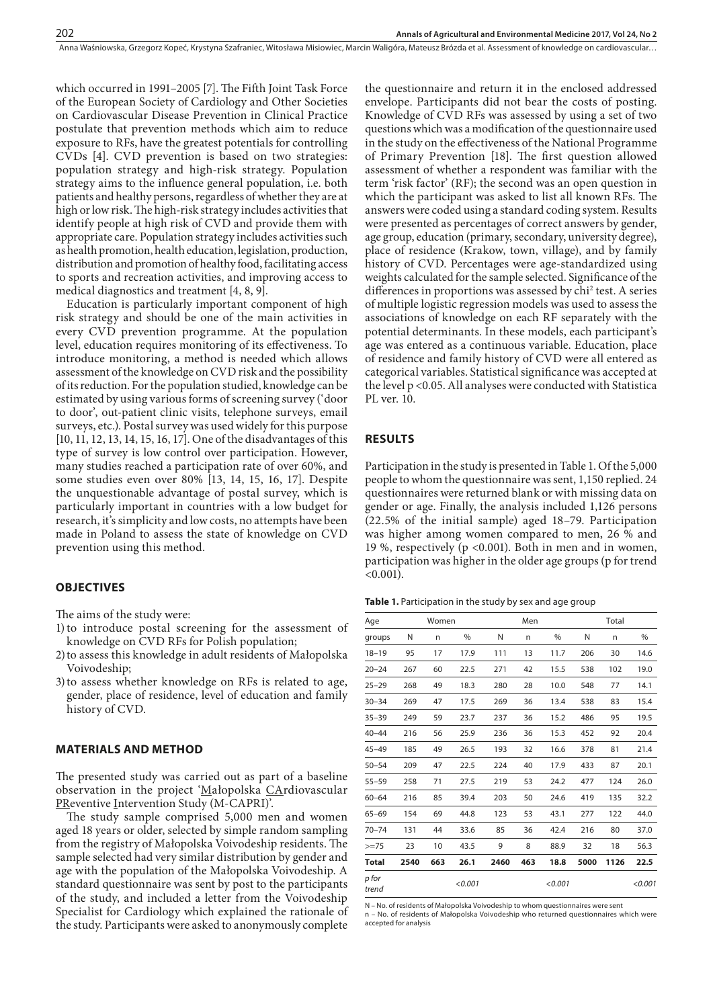which occurred in 1991–2005 [7]. The Fifth Joint Task Force of the European Society of Cardiology and Other Societies on Cardiovascular Disease Prevention in Clinical Practice postulate that prevention methods which aim to reduce exposure to RFs, have the greatest potentials for controlling CVDs [4]. CVD prevention is based on two strategies: population strategy and high-risk strategy. Population strategy aims to the influence general population, i.e. both patients and healthy persons, regardless of whether they are at high or low risk. The high-risk strategy includes activities that identify people at high risk of CVD and provide them with appropriate care. Population strategy includes activities such as health promotion, health education, legislation, production, distribution and promotion of healthy food, facilitating access to sports and recreation activities, and improving access to medical diagnostics and treatment [4, 8, 9].

Education is particularly important component of high risk strategy and should be one of the main activities in every CVD prevention programme. At the population level, education requires monitoring of its effectiveness. To introduce monitoring, a method is needed which allows assessment of the knowledge on CVD risk and the possibility of its reduction. For the population studied, knowledge can be estimated by using various forms of screening survey ('door to door', out-patient clinic visits, telephone surveys, email surveys, etc.). Postal survey was used widely for this purpose [10, 11, 12, 13, 14, 15, 16, 17]. One of the disadvantages of this type of survey is low control over participation. However, many studies reached a participation rate of over 60%, and some studies even over 80% [13, 14, 15, 16, 17]. Despite the unquestionable advantage of postal survey, which is particularly important in countries with a low budget for research, it's simplicity and low costs, no attempts have been made in Poland to assess the state of knowledge on CVD prevention using this method.

### **OBJECTIVES**

The aims of the study were:

- 1)to introduce postal screening for the assessment of knowledge on CVD RFs for Polish population;
- 2)to assess this knowledge in adult residents of Małopolska Voivodeship;
- 3)to assess whether knowledge on RFs is related to age, gender, place of residence, level of education and family history of CVD.

## **MATERIALS AND METHOD**

The presented study was carried out as part of a baseline observation in the project 'Małopolska CArdiovascular PReventive Intervention Study (M-CAPRI)'.

The study sample comprised 5,000 men and women aged 18 years or older, selected by simple random sampling from the registry of Małopolska Voivodeship residents. The sample selected had very similar distribution by gender and age with the population of the Małopolska Voivodeship. A standard questionnaire was sent by post to the participants of the study, and included a letter from the Voivodeship Specialist for Cardiology which explained the rationale of the study. Participants were asked to anonymously complete

the questionnaire and return it in the enclosed addressed envelope. Participants did not bear the costs of posting. Knowledge of CVD RFs was assessed by using a set of two questions which was a modification of the questionnaire used in the study on the effectiveness of the National Programme of Primary Prevention [18]. The first question allowed assessment of whether a respondent was familiar with the term 'risk factor' (RF); the second was an open question in which the participant was asked to list all known RFs. The answers were coded using a standard coding system. Results were presented as percentages of correct answers by gender, age group, education (primary, secondary, university degree), place of residence (Krakow, town, village), and by family history of CVD. Percentages were age-standardized using weights calculated for the sample selected. Significance of the differences in proportions was assessed by chi<sup>2</sup> test. A series of multiple logistic regression models was used to assess the associations of knowledge on each RF separately with the potential determinants. In these models, each participant's age was entered as a continuous variable. Education, place of residence and family history of CVD were all entered as categorical variables. Statistical significance was accepted at the level p <0.05. All analyses were conducted with Statistica PL ver. 10.

#### **RESULTS**

Participation in the study is presented in Table 1. Of the 5,000 people to whom the questionnaire was sent, 1,150 replied. 24 questionnaires were returned blank or with missing data on gender or age. Finally, the analysis included 1,126 persons (22.5% of the initial sample) aged 18–79. Participation was higher among women compared to men, 26 % and 19 %, respectively ( $p \le 0.001$ ). Both in men and in women, participation was higher in the older age groups (p for trend  $< 0.001$ ).

**Table 1.** Participation in the study by sex and age group

| Age            |      | Women |         |      | Men |         | Total |      |         |  |
|----------------|------|-------|---------|------|-----|---------|-------|------|---------|--|
| groups         | Ν    | n     | $\%$    | N    | n.  | %       | N     | n    | $\%$    |  |
| $18 - 19$      | 95   | 17    | 17.9    | 111  | 13  | 11.7    | 206   | 30   | 14.6    |  |
| $20 - 24$      | 267  | 60    | 22.5    | 271  | 42  | 15.5    | 538   | 102  | 19.0    |  |
| $25 - 29$      | 268  | 49    | 18.3    | 280  | 28  | 10.0    | 548   | 77   | 14.1    |  |
| $30 - 34$      | 269  | 47    | 17.5    | 269  | 36  | 13.4    | 538   | 83   | 15.4    |  |
| $35 - 39$      | 249  | 59    | 23.7    | 237  | 36  | 15.2    | 486   | 95   | 19.5    |  |
| $40 - 44$      | 216  | 56    | 25.9    | 236  | 36  | 15.3    | 452   | 92   | 20.4    |  |
| $45 - 49$      | 185  | 49    | 26.5    | 193  | 32  | 16.6    | 378   | 81   | 21.4    |  |
| $50 - 54$      | 209  | 47    | 22.5    | 224  | 40  | 17.9    | 433   | 87   | 20.1    |  |
| $55 - 59$      | 258  | 71    | 27.5    | 219  | 53  | 24.2    | 477   | 124  | 26.0    |  |
| $60 - 64$      | 216  | 85    | 39.4    | 203  | 50  | 24.6    | 419   | 135  | 32.2    |  |
| $65 - 69$      | 154  | 69    | 44.8    | 123  | 53  | 43.1    | 277   | 122  | 44.0    |  |
| $70 - 74$      | 131  | 44    | 33.6    | 85   | 36  | 42.4    | 216   | 80   | 37.0    |  |
| $>=75$         | 23   | 10    | 43.5    | 9    | 8   | 88.9    | 32    | 18   | 56.3    |  |
| Total          | 2540 | 663   | 26.1    | 2460 | 463 | 18.8    | 5000  | 1126 | 22.5    |  |
| p for<br>trend |      |       | < 0.001 |      |     | < 0.001 |       |      | < 0.001 |  |

N – No. of residents of Małopolska Voivodeship to whom questionnaires were sent

n – No. of residents of Małopolska Voivodeship who returned questionnaires which were accepted for analysis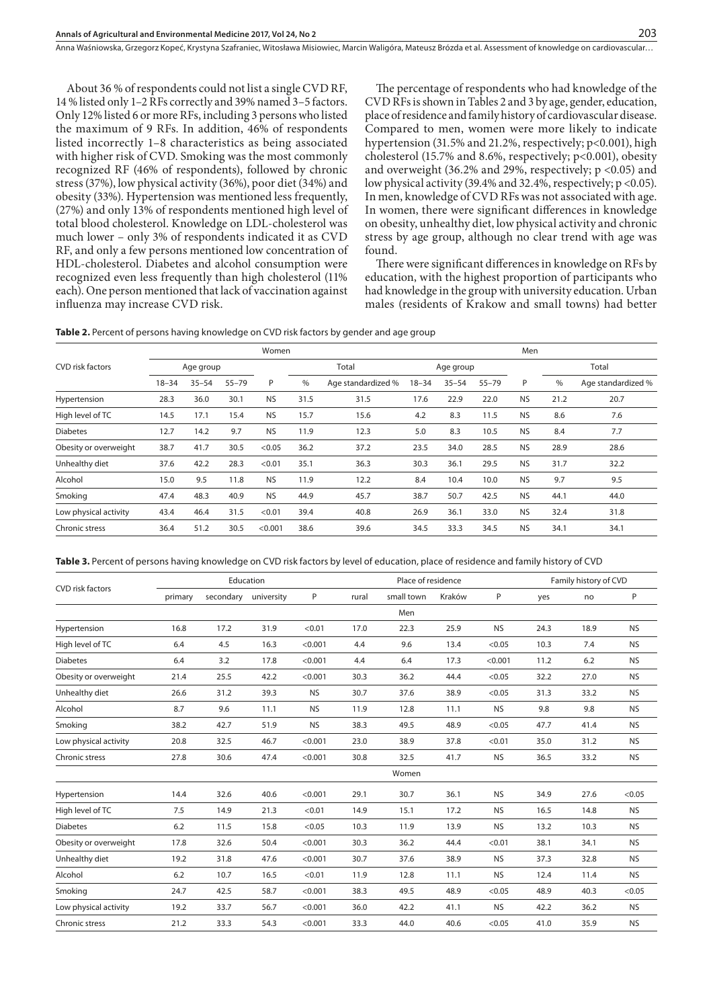About 36 % of respondents could not list a single CVD RF, 14 % listed only 1–2 RFs correctly and 39% named 3–5 factors. Only 12% listed 6 or more RFs, including 3 persons who listed the maximum of 9 RFs. In addition, 46% of respondents listed incorrectly 1–8 characteristics as being associated with higher risk of CVD. Smoking was the most commonly recognized RF (46% of respondents), followed by chronic stress (37%), low physical activity (36%), poor diet (34%) and obesity (33%). Hypertension was mentioned less frequently, (27%) and only 13% of respondents mentioned high level of total blood cholesterol. Knowledge on LDL-cholesterol was much lower – only 3% of respondents indicated it as CVD RF, and only a few persons mentioned low concentration of HDL-cholesterol. Diabetes and alcohol consumption were recognized even less frequently than high cholesterol (11% each). One person mentioned that lack of vaccination against influenza may increase CVD risk.

The percentage of respondents who had knowledge of the CVD RFs is shown in Tables 2 and 3 by age, gender, education, place of residence and family history of cardiovascular disease. Compared to men, women were more likely to indicate hypertension (31.5% and 21.2%, respectively; p<0.001), high cholesterol (15.7% and 8.6%, respectively; p<0.001), obesity and overweight (36.2% and 29%, respectively; p <0.05) and low physical activity (39.4% and 32.4%, respectively; p <0.05). In men, knowledge of CVD RFs was not associated with age. In women, there were significant differences in knowledge on obesity, unhealthy diet, low physical activity and chronic stress by age group, although no clear trend with age was found.

There were significant differences in knowledge on RFs by education, with the highest proportion of participants who had knowledge in the group with university education. Urban males (residents of Krakow and small towns) had better

Table 2. Percent of persons having knowledge on CVD risk factors by gender and age group

|                       | Women                                    |      |                            |           |                                     |       |           | Men  |                    |           |       |      |  |
|-----------------------|------------------------------------------|------|----------------------------|-----------|-------------------------------------|-------|-----------|------|--------------------|-----------|-------|------|--|
| CVD risk factors      | Age group                                |      |                            |           |                                     | Total | Age group |      |                    |           | Total |      |  |
|                       | $35 - 54$<br>P<br>$18 - 34$<br>$55 - 79$ |      | $\%$<br>Age standardized % |           | $18 - 34$<br>$35 - 54$<br>$55 - 79$ |       | P         | $\%$ | Age standardized % |           |       |      |  |
| Hypertension          | 28.3                                     | 36.0 | 30.1                       | <b>NS</b> | 31.5                                | 31.5  | 17.6      | 22.9 | 22.0               | <b>NS</b> | 21.2  | 20.7 |  |
| High level of TC      | 14.5                                     | 17.1 | 15.4                       | <b>NS</b> | 15.7                                | 15.6  | 4.2       | 8.3  | 11.5               | <b>NS</b> | 8.6   | 7.6  |  |
| <b>Diabetes</b>       | 12.7                                     | 14.2 | 9.7                        | <b>NS</b> | 11.9                                | 12.3  | 5.0       | 8.3  | 10.5               | <b>NS</b> | 8.4   | 7.7  |  |
| Obesity or overweight | 38.7                                     | 41.7 | 30.5                       | < 0.05    | 36.2                                | 37.2  | 23.5      | 34.0 | 28.5               | <b>NS</b> | 28.9  | 28.6 |  |
| Unhealthy diet        | 37.6                                     | 42.2 | 28.3                       | < 0.01    | 35.1                                | 36.3  | 30.3      | 36.1 | 29.5               | <b>NS</b> | 31.7  | 32.2 |  |
| Alcohol               | 15.0                                     | 9.5  | 11.8                       | <b>NS</b> | 11.9                                | 12.2  | 8.4       | 10.4 | 10.0               | <b>NS</b> | 9.7   | 9.5  |  |
| Smoking               | 47.4                                     | 48.3 | 40.9                       | <b>NS</b> | 44.9                                | 45.7  | 38.7      | 50.7 | 42.5               | <b>NS</b> | 44.1  | 44.0 |  |
| Low physical activity | 43.4                                     | 46.4 | 31.5                       | < 0.01    | 39.4                                | 40.8  | 26.9      | 36.1 | 33.0               | <b>NS</b> | 32.4  | 31.8 |  |
| Chronic stress        | 36.4                                     | 51.2 | 30.5                       | < 0.001   | 38.6                                | 39.6  | 34.5      | 33.3 | 34.5               | <b>NS</b> | 34.1  | 34.1 |  |

**Table 3.** Percent of persons having knowledge on CVD risk factors by level of education, place of residence and family history of CVD

|                       | Education |           |            |           |       | Place of residence |        |           |      | Family history of CVD |           |  |
|-----------------------|-----------|-----------|------------|-----------|-------|--------------------|--------|-----------|------|-----------------------|-----------|--|
| CVD risk factors      | primary   | secondary | university | P         | rural | small town         | Kraków | P         | yes  | no                    | P         |  |
|                       |           |           |            |           |       | Men                |        |           |      |                       |           |  |
| Hypertension          | 16.8      | 17.2      | 31.9       | < 0.01    | 17.0  | 22.3               | 25.9   | <b>NS</b> | 24.3 | 18.9                  | <b>NS</b> |  |
| High level of TC      | 6.4       | 4.5       | 16.3       | < 0.001   | 4.4   | 9.6                | 13.4   | < 0.05    | 10.3 | 7.4                   | <b>NS</b> |  |
| <b>Diabetes</b>       | 6.4       | 3.2       | 17.8       | < 0.001   | 4.4   | 6.4                | 17.3   | < 0.001   | 11.2 | 6.2                   | <b>NS</b> |  |
| Obesity or overweight | 21.4      | 25.5      | 42.2       | < 0.001   | 30.3  | 36.2               | 44.4   | < 0.05    | 32.2 | 27.0                  | <b>NS</b> |  |
| Unhealthy diet        | 26.6      | 31.2      | 39.3       | <b>NS</b> | 30.7  | 37.6               | 38.9   | < 0.05    | 31.3 | 33.2                  | <b>NS</b> |  |
| Alcohol               | 8.7       | 9.6       | 11.1       | <b>NS</b> | 11.9  | 12.8               | 11.1   | <b>NS</b> | 9.8  | 9.8                   | <b>NS</b> |  |
| Smoking               | 38.2      | 42.7      | 51.9       | <b>NS</b> | 38.3  | 49.5               | 48.9   | < 0.05    | 47.7 | 41.4                  | <b>NS</b> |  |
| Low physical activity | 20.8      | 32.5      | 46.7       | < 0.001   | 23.0  | 38.9               | 37.8   | < 0.01    | 35.0 | 31.2                  | <b>NS</b> |  |
| Chronic stress        | 27.8      | 30.6      | 47.4       | < 0.001   | 30.8  | 32.5               | 41.7   | <b>NS</b> | 36.5 | 33.2                  | <b>NS</b> |  |
|                       |           |           |            |           |       | Women              |        |           |      |                       |           |  |
| Hypertension          | 14.4      | 32.6      | 40.6       | < 0.001   | 29.1  | 30.7               | 36.1   | <b>NS</b> | 34.9 | 27.6                  | < 0.05    |  |
| High level of TC      | 7.5       | 14.9      | 21.3       | < 0.01    | 14.9  | 15.1               | 17.2   | <b>NS</b> | 16.5 | 14.8                  | <b>NS</b> |  |
| <b>Diabetes</b>       | 6.2       | 11.5      | 15.8       | < 0.05    | 10.3  | 11.9               | 13.9   | <b>NS</b> | 13.2 | 10.3                  | <b>NS</b> |  |
| Obesity or overweight | 17.8      | 32.6      | 50.4       | < 0.001   | 30.3  | 36.2               | 44.4   | < 0.01    | 38.1 | 34.1                  | <b>NS</b> |  |
| Unhealthy diet        | 19.2      | 31.8      | 47.6       | < 0.001   | 30.7  | 37.6               | 38.9   | <b>NS</b> | 37.3 | 32.8                  | <b>NS</b> |  |
| Alcohol               | 6.2       | 10.7      | 16.5       | < 0.01    | 11.9  | 12.8               | 11.1   | <b>NS</b> | 12.4 | 11.4                  | <b>NS</b> |  |
| Smoking               | 24.7      | 42.5      | 58.7       | < 0.001   | 38.3  | 49.5               | 48.9   | < 0.05    | 48.9 | 40.3                  | < 0.05    |  |
| Low physical activity | 19.2      | 33.7      | 56.7       | < 0.001   | 36.0  | 42.2               | 41.1   | <b>NS</b> | 42.2 | 36.2                  | <b>NS</b> |  |
| Chronic stress        | 21.2      | 33.3      | 54.3       | < 0.001   | 33.3  | 44.0               | 40.6   | < 0.05    | 41.0 | 35.9                  | <b>NS</b> |  |
|                       |           |           |            |           |       |                    |        |           |      |                       |           |  |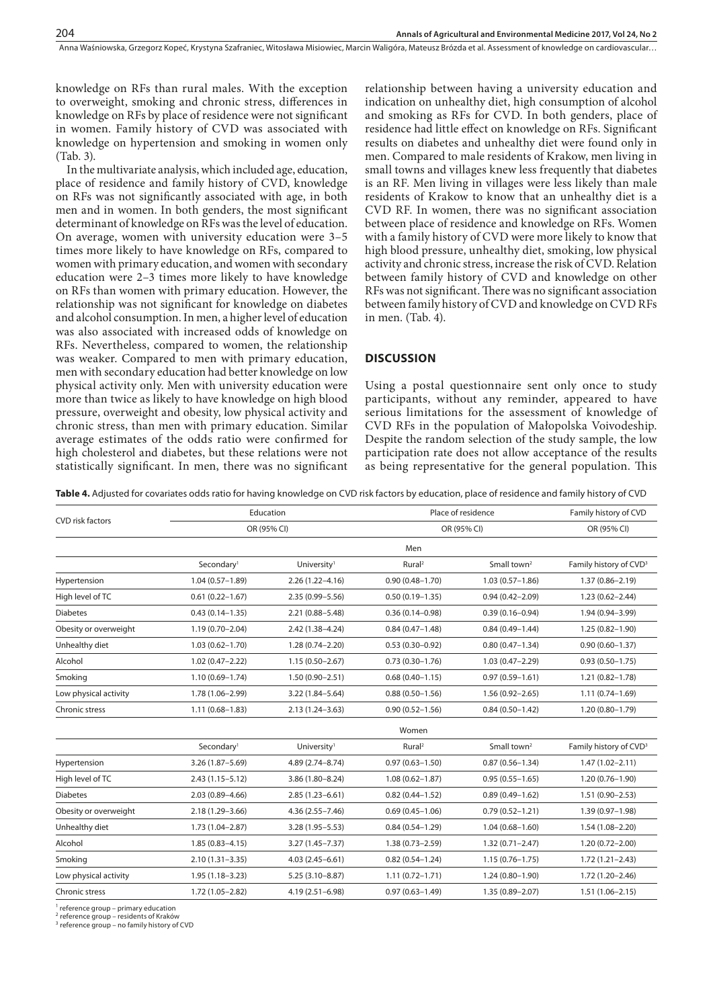knowledge on RFs than rural males. With the exception to overweight, smoking and chronic stress, differences in knowledge on RFs by place of residence were not significant in women. Family history of CVD was associated with knowledge on hypertension and smoking in women only (Tab. 3).

In the multivariate analysis, which included age, education, place of residence and family history of CVD, knowledge on RFs was not significantly associated with age, in both men and in women. In both genders, the most significant determinant of knowledge on RFs was the level of education. On average, women with university education were 3–5 times more likely to have knowledge on RFs, compared to women with primary education, and women with secondary education were 2–3 times more likely to have knowledge on RFs than women with primary education. However, the relationship was not significant for knowledge on diabetes and alcohol consumption. In men, a higher level of education was also associated with increased odds of knowledge on RFs. Nevertheless, compared to women, the relationship was weaker. Compared to men with primary education, men with secondary education had better knowledge on low physical activity only. Men with university education were more than twice as likely to have knowledge on high blood pressure, overweight and obesity, low physical activity and chronic stress, than men with primary education. Similar average estimates of the odds ratio were confirmed for high cholesterol and diabetes, but these relations were not statistically significant. In men, there was no significant relationship between having a university education and indication on unhealthy diet, high consumption of alcohol and smoking as RFs for CVD. In both genders, place of residence had little effect on knowledge on RFs. Significant results on diabetes and unhealthy diet were found only in men. Compared to male residents of Krakow, men living in small towns and villages knew less frequently that diabetes is an RF. Men living in villages were less likely than male residents of Krakow to know that an unhealthy diet is a CVD RF. In women, there was no significant association between place of residence and knowledge on RFs. Women with a family history of CVD were more likely to know that high blood pressure, unhealthy diet, smoking, low physical activity and chronic stress, increase the risk of CVD. Relation between family history of CVD and knowledge on other RFs was not significant. There was no significant association between family history of CVD and knowledge on CVD RFs in men. (Tab. 4).

## **DISCUSSION**

Using a postal questionnaire sent only once to study participants, without any reminder, appeared to have serious limitations for the assessment of knowledge of CVD RFs in the population of Małopolska Voivodeship. Despite the random selection of the study sample, the low participation rate does not allow acceptance of the results as being representative for the general population. This

**Table 4.** Adjusted for covariates odds ratio for having knowledge on CVD risk factors by education, place of residence and family history of CVD

|                         |                                         | Education               | Place of residence  | Family history of CVD   |                                    |  |
|-------------------------|-----------------------------------------|-------------------------|---------------------|-------------------------|------------------------------------|--|
| <b>CVD</b> risk factors |                                         | OR (95% CI)             | OR (95% CI)         | OR (95% CI)             |                                    |  |
|                         |                                         |                         | Men                 |                         |                                    |  |
|                         | Secondary <sup>1</sup>                  | University <sup>1</sup> | Rural <sup>2</sup>  | Small town <sup>2</sup> | Family history of CVD <sup>3</sup> |  |
| Hypertension            | $1.04(0.57 - 1.89)$                     | $2.26(1.22 - 4.16)$     | $0.90(0.48 - 1.70)$ | $1.03(0.57 - 1.86)$     | $1.37(0.86 - 2.19)$                |  |
| High level of TC        | $0.61(0.22 - 1.67)$                     | 2.35 (0.99-5.56)        | $0.50(0.19 - 1.35)$ | $0.94(0.42 - 2.09)$     | $1.23(0.62 - 2.44)$                |  |
| <b>Diabetes</b>         | $0.43(0.14 - 1.35)$                     | 2.21 (0.88-5.48)        | $0.36(0.14 - 0.98)$ | $0.39(0.16 - 0.94)$     | 1.94 (0.94-3.99)                   |  |
| Obesity or overweight   | $1.19(0.70 - 2.04)$<br>2.42 (1.38-4.24) |                         | $0.84(0.47 - 1.48)$ | $0.84(0.49 - 1.44)$     | $1.25(0.82 - 1.90)$                |  |
| Unhealthy diet          | $1.03(0.62 - 1.70)$                     | $1.28(0.74 - 2.20)$     | $0.53(0.30 - 0.92)$ | $0.80(0.47 - 1.34)$     | $0.90(0.60 - 1.37)$                |  |
| Alcohol                 | $1.02(0.47 - 2.22)$                     | $1.15(0.50 - 2.67)$     | $0.73(0.30 - 1.76)$ | $1.03(0.47 - 2.29)$     | $0.93(0.50 - 1.75)$                |  |
| Smoking                 | $1.10(0.69 - 1.74)$                     | $1.50(0.90 - 2.51)$     | $0.68(0.40 - 1.15)$ | $0.97(0.59 - 1.61)$     | $1.21(0.82 - 1.78)$                |  |
| Low physical activity   | 1.78 (1.06-2.99)                        | 3.22 (1.84-5.64)        | $0.88(0.50 - 1.56)$ | $1.56(0.92 - 2.65)$     | $1.11(0.74 - 1.69)$                |  |
| Chronic stress          | $1.11(0.68 - 1.83)$                     | 2.13 (1.24-3.63)        | $0.90(0.52 - 1.56)$ | $0.84(0.50 - 1.42)$     | $1.20(0.80 - 1.79)$                |  |
|                         |                                         |                         | Women               |                         |                                    |  |
|                         | Secondary <sup>1</sup>                  | University <sup>1</sup> | Rural <sup>2</sup>  | Small town <sup>2</sup> | Family history of CVD <sup>3</sup> |  |
| Hypertension            | 3.26 (1.87-5.69)                        | 4.89 (2.74-8.74)        | $0.97(0.63 - 1.50)$ | $0.87(0.56 - 1.34)$     | $1.47(1.02 - 2.11)$                |  |
| High level of TC        | $2.43(1.15 - 5.12)$                     | 3.86 (1.80-8.24)        | $1.08(0.62 - 1.87)$ | $0.95(0.55 - 1.65)$     | $1.20(0.76 - 1.90)$                |  |
| <b>Diabetes</b>         | $2.03(0.89 - 4.66)$                     | $2.85(1.23 - 6.61)$     | $0.82(0.44 - 1.52)$ | $0.89(0.49 - 1.62)$     | $1.51(0.90 - 2.53)$                |  |
| Obesity or overweight   | $2.18(1.29 - 3.66)$                     | $4.36(2.55 - 7.46)$     | $0.69(0.45 - 1.06)$ | $0.79(0.52 - 1.21)$     | $1.39(0.97 - 1.98)$                |  |
| Unhealthy diet          | $1.73(1.04 - 2.87)$                     | $3.28(1.95 - 5.53)$     | $0.84(0.54 - 1.29)$ | $1.04(0.68 - 1.60)$     | $1.54(1.08 - 2.20)$                |  |
| Alcohol                 | $1.85(0.83 - 4.15)$                     | $3.27(1.45 - 7.37)$     | $1.38(0.73 - 2.59)$ | $1.32(0.71 - 2.47)$     | $1.20(0.72 - 2.00)$                |  |
| Smoking                 | $2.10(1.31 - 3.35)$                     | $4.03(2.45 - 6.61)$     | $0.82(0.54 - 1.24)$ | $1.15(0.76 - 1.75)$     | $1.72(1.21 - 2.43)$                |  |
| Low physical activity   | $1.95(1.18 - 3.23)$                     | $5.25(3.10-8.87)$       | $1.11(0.72 - 1.71)$ | $1.24(0.80 - 1.90)$     | 1.72 (1.20-2.46)                   |  |
| Chronic stress          | $1.72(1.05 - 2.82)$                     | 4.19 (2.51-6.98)        | $0.97(0.63 - 1.49)$ | $1.35(0.89 - 2.07)$     | $1.51(1.06 - 2.15)$                |  |

1 reference group – primary education

<sup>2</sup> reference group – residents of Kraków

<sup>3</sup> reference group – no family history of CVD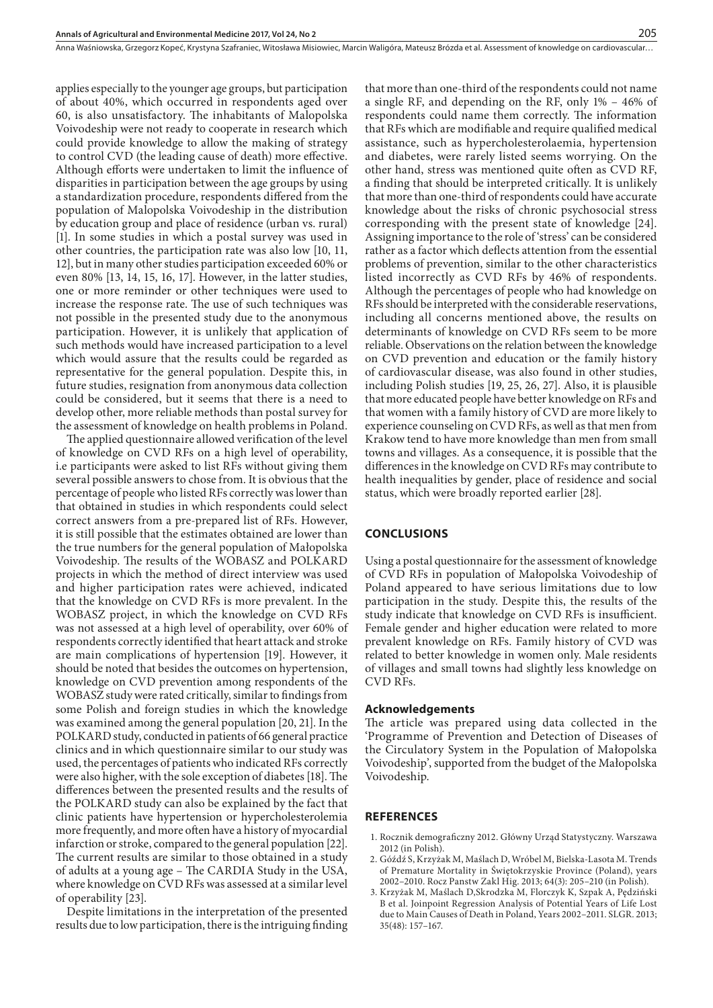applies especially to the younger age groups, but participation of about 40%, which occurred in respondents aged over 60, is also unsatisfactory. The inhabitants of Malopolska Voivodeship were not ready to cooperate in research which could provide knowledge to allow the making of strategy to control CVD (the leading cause of death) more effective. Although efforts were undertaken to limit the influence of disparities in participation between the age groups by using a standardization procedure, respondents differed from the population of Malopolska Voivodeship in the distribution by education group and place of residence (urban vs. rural) [1]. In some studies in which a postal survey was used in other countries, the participation rate was also low [10, 11, 12], but in many other studies participation exceeded 60% or even 80% [13, 14, 15, 16, 17]. However, in the latter studies, one or more reminder or other techniques were used to increase the response rate. The use of such techniques was not possible in the presented study due to the anonymous participation. However, it is unlikely that application of such methods would have increased participation to a level which would assure that the results could be regarded as representative for the general population. Despite this, in future studies, resignation from anonymous data collection could be considered, but it seems that there is a need to develop other, more reliable methods than postal survey for the assessment of knowledge on health problems in Poland.

The applied questionnaire allowed verification of the level of knowledge on CVD RFs on a high level of operability, i.e participants were asked to list RFs without giving them several possible answers to chose from. It is obvious that the percentage of people who listed RFs correctly was lower than that obtained in studies in which respondents could select correct answers from a pre-prepared list of RFs. However, it is still possible that the estimates obtained are lower than the true numbers for the general population of Małopolska Voivodeship. The results of the WOBASZ and POLKARD projects in which the method of direct interview was used and higher participation rates were achieved, indicated that the knowledge on CVD RFs is more prevalent. In the WOBASZ project, in which the knowledge on CVD RFs was not assessed at a high level of operability, over 60% of respondents correctly identified that heart attack and stroke are main complications of hypertension [19]. However, it should be noted that besides the outcomes on hypertension, knowledge on CVD prevention among respondents of the WOBASZ study were rated critically, similar to findings from some Polish and foreign studies in which the knowledge was examined among the general population [20, 21]. In the POLKARD study, conducted in patients of 66 general practice clinics and in which questionnaire similar to our study was used, the percentages of patients who indicated RFs correctly were also higher, with the sole exception of diabetes [18]. The differences between the presented results and the results of the POLKARD study can also be explained by the fact that clinic patients have hypertension or hypercholesterolemia more frequently, and more often have a history of myocardial infarction or stroke, compared to the general population [22]. The current results are similar to those obtained in a study of adults at a young age – The CARDIA Study in the USA, where knowledge on CVD RFs was assessed at a similar level of operability [23].

Despite limitations in the interpretation of the presented results due to low participation, there is the intriguing finding

that more than one-third of the respondents could not name a single RF, and depending on the RF, only 1% – 46% of respondents could name them correctly. The information that RFs which are modifiable and require qualified medical assistance, such as hypercholesterolaemia, hypertension and diabetes, were rarely listed seems worrying. On the other hand, stress was mentioned quite often as CVD RF, a finding that should be interpreted critically. It is unlikely that more than one-third of respondents could have accurate knowledge about the risks of chronic psychosocial stress corresponding with the present state of knowledge [24]. Assigning importance to the role of 'stress' can be considered rather as a factor which deflects attention from the essential problems of prevention, similar to the other characteristics listed incorrectly as CVD RFs by 46% of respondents. Although the percentages of people who had knowledge on RFs should be interpreted with the considerable reservations, including all concerns mentioned above, the results on determinants of knowledge on CVD RFs seem to be more reliable. Observations on the relation between the knowledge on CVD prevention and education or the family history of cardiovascular disease, was also found in other studies, including Polish studies [19, 25, 26, 27]. Also, it is plausible that more educated people have better knowledge on RFs and that women with a family history of CVD are more likely to experience counseling on CVD RFs, as well as that men from Krakow tend to have more knowledge than men from small towns and villages. As a consequence, it is possible that the differences in the knowledge on CVD RFs may contribute to health inequalities by gender, place of residence and social status, which were broadly reported earlier [28].

#### **CONCLUSIONS**

Using a postal questionnaire for the assessment of knowledge of CVD RFs in population of Małopolska Voivodeship of Poland appeared to have serious limitations due to low participation in the study. Despite this, the results of the study indicate that knowledge on CVD RFs is insufficient. Female gender and higher education were related to more prevalent knowledge on RFs. Family history of CVD was related to better knowledge in women only. Male residents of villages and small towns had slightly less knowledge on CVD RFs.

#### **Acknowledgements**

The article was prepared using data collected in the 'Programme of Prevention and Detection of Diseases of the Circulatory System in the Population of Małopolska Voivodeship', supported from the budget of the Małopolska Voivodeship.

### **REFERENCES**

- 1. Rocznik demograficzny 2012. Główny Urząd Statystyczny. Warszawa 2012 (in Polish).
- 2. Góźdź S, Krzyżak M, Maślach D, Wróbel M, Bielska-Lasota M. Trends of Premature Mortality in Świętokrzyskie Province (Poland), years 2002–2010. Rocz Panstw Zakl Hig. 2013; 64(3): 205–210 (in Polish).
- 3. Krzyżak M, Maślach D,Skrodzka M, Florczyk K, Szpak A, Pędziński B et al. Joinpoint Regression Analysis of Potential Years of Life Lost due to Main Causes of Death in Poland, Years 2002–2011. SLGR. 2013; 35(48): 157–167.